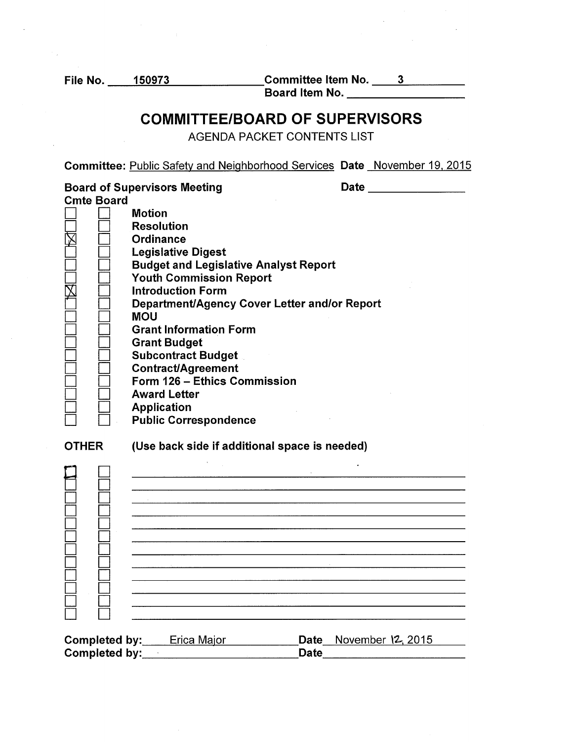File No. \_ \_\_.1""""50""""'9'"""'7"""""3 \_\_\_\_\_\_ Committee Item No. ----=3;.....\_ \_\_ \_ Committee Item No. \_\_\_\_\_3\_\_\_\_\_\_\_\_\_<br>Board Item No. \_\_\_\_\_\_\_\_\_\_\_\_\_\_\_\_\_\_\_\_\_

## COMMITTEE/BOARD OF SUPERVISORS

AGENDA PACKET CONTENTS LIST

Committee: Public Safety and Neighborhood Services Date November 19. 2015

Board of Supervisors Meeting Cmte Board  $Date$   $\qquad \qquad \qquad \qquad$  $\square$   $\square$  $\Box$  $\Box$  $\Box$  $\square$   $\square$  $\Box$   $\Box$  $\frac{\boxtimes}{\square}$  $\Box$ D D  $\square$   $\square$  $\square$   $\square$  $\square$   $\square$  $\square$   $\square$  $\square$   $\square$  $\square$   $\square$ D D  $\Box$ Motion Resolution **Ordinance** Legislative Digest Budget and Legislative Analyst Report Youth Commission Report Introduction Form Department/Agency Cover Letter and/or Report MOU Grant Information Form Grant Budget Subcontract Budget Contract/Agreement Form 126 - Ethics Commission Award Letter Application Public Correspondence

**OTHER** (Use back side if additional space is needed)

|               | <b>Completed by:</b> Erica Major | Date November 12, 2015 |  |
|---------------|----------------------------------|------------------------|--|
| Completed by: |                                  | <b>Date</b>            |  |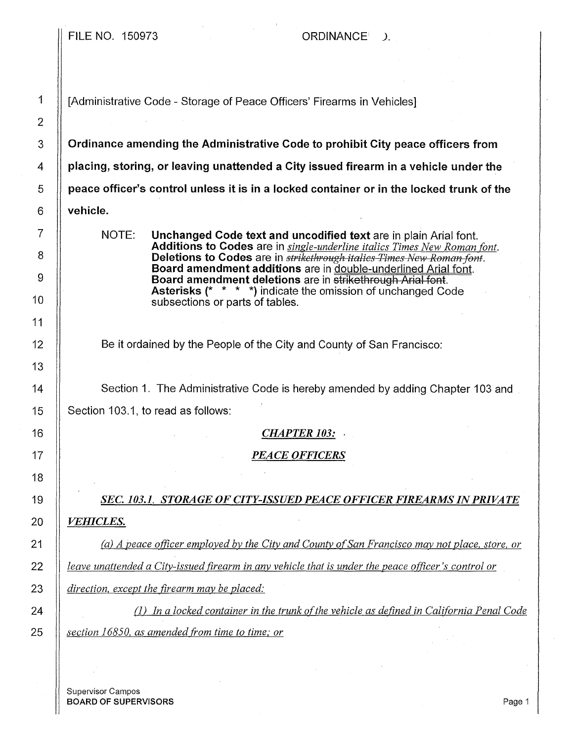FILE NO. 150973 CRDINANCE

1 | [Administrative Code - Storage of Peace Officers' Firearms in Vehicles]

 $3$   $\parallel$  Ordinance amending the Administrative Code to prohibit City peace officers from  $4\quad$   $\parallel$  placing, storing, or leaving unattended a Citv issued firearm in a vehicle under the  $5$   $\parallel$  peace officer's control unless it is in a locked container or in the locked trunk of the  $6 \parallel$  vehicle.

> NOTE: Unchanged Code text and uncodified text are in plain Arial font. Additions to Codes are in *single-underline italics Times New Roman font.*  **Deletions to Codes** are in *strikethrough italics Times New Roman font.* Board amendment additions are in double-underlined Arial font. Board amendment deletions are in strikethrough Arial font. Asterisks (\* \* \* \*) indicate the omission of unchanged Code subsections or parts of tables.

Be it ordained by the People of the City and County of San Francisco:

14 | Section 1. The Administrative Code is hereby amended by adding Chapter 103 and 15  $\parallel$  Section 103.1, to read as follows:

## 16 *CHAPTER 103:* .

## 17 *PEACE OFFICERS*

19 *SEC. 103.1. STORAGE OF CITY-ISSUED PEACE OFFICER FIREARMS IN PRIVATE*  20 *VEHICLES.* 

21 *(a) A peace officer employed by the City and County of San Francisco may not place, store, or* **<b>2** 22 *leave unattended a City-issued firearm in any vehicle that is under the peace officer's control or*  23 *direction. except the firearm may be placed:* 

24 (1) *In a locked container in the trunk of the vehicle as defined in California Penal Code* 25 *section 16850, as amended from time to time; or* 

Supervisor Campos BOARD OF SUPERVISORS And the state of the state of the state of the state of the state of the state of the state of the state of the state of the state of the state of the state of the state of the state of the state of th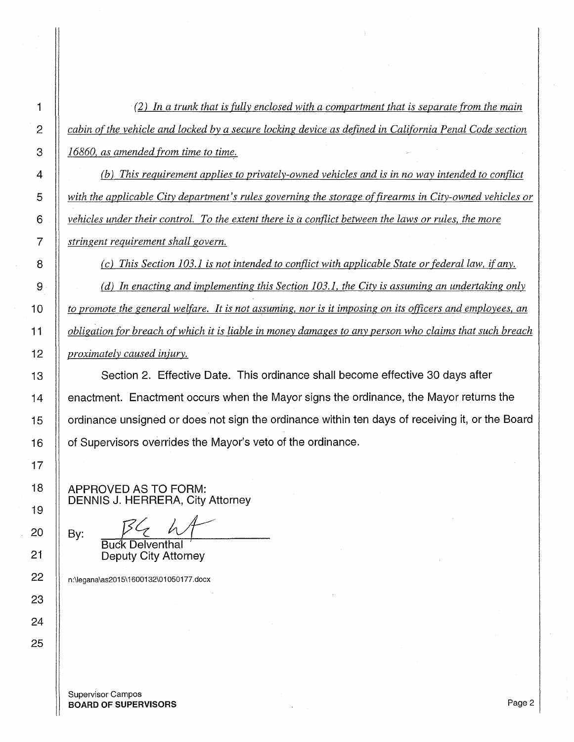*(2) In a trunk that is fully enclosed with a compartment that is separate from the main cabin of the vehicle and locked by a secure locking device as defined in California Penal Code section*  **16860**, as amended from time to time. *(b) This requirement applies to privately-owned vehicles and is in no way intended to conflict* 

*with the applicable City department's rules governing the storage of firearms in City-owned vehicles or vehicles under their control. To the extent there is a conflict between the laws or rules, the more stringent requirement shall govern.* 

*(c) This Section 103.1 is not intended to conflict with applicable State or federal law, if any.* 

*(d) In enacting and implementing this Section 103.1, the City is assuming an undertaking only to promote the general welfare. It is not assuming, nor is it imposing on its officers and employees, an* $\theta$ *obligation for breach of which it is liable in money damages to any person who claims that such breach proximately caused injury.* 

13 Section 2. Effective Date. This ordinance shall become effective 30 days after **enactment.** Enactment occurs when the Mayor signs the ordinance, the Mayor returns the 15 ordinance unsigned or does not sign the ordinance within ten days of receiving it, or the Board 16 | of Supervisors overrides the Mayor's veto of the ordinance.

APPROVED AS TO FORM: DENNIS J. HERRERA, City Attorney

By:

Buck Delventhal Deputy City Attorney

22 | n:\legana\as2015\1600132\01050177.docx

Supervisor Campos **BOARD OF SUPERVISORS** Page 2